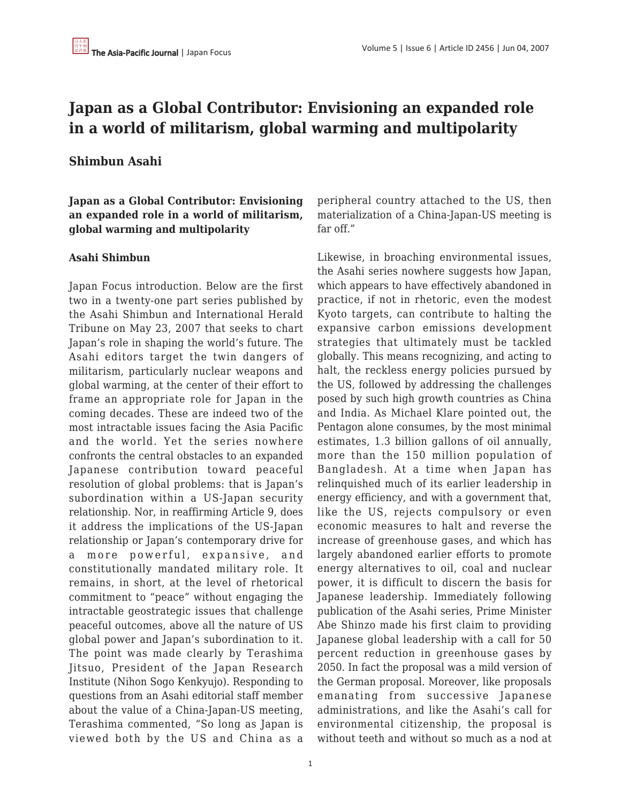# **Japan as a Global Contributor: Envisioning an expanded role in a world of militarism, global warming and multipolarity**

# **Shimbun Asahi**

**Japan as a Global Contributor: Envisioning an expanded role in a world of militarism, global warming and multipolarity**

#### **Asahi Shimbun**

Japan Focus introduction. Below are the first two in a twenty-one part series published by the Asahi Shimbun and International Herald Tribune on May 23, 2007 that seeks to chart Japan's role in shaping the world's future. The Asahi editors target the twin dangers of militarism, particularly nuclear weapons and global warming, at the center of their effort to frame an appropriate role for Japan in the coming decades. These are indeed two of the most intractable issues facing the Asia Pacific and the world. Yet the series nowhere confronts the central obstacles to an expanded Japanese contribution toward peaceful resolution of global problems: that is Japan's subordination within a US-Japan security relationship. Nor, in reaffirming Article 9, does it address the implications of the US-Japan relationship or Japan's contemporary drive for a more powerful, expansive, and constitutionally mandated military role. It remains, in short, at the level of rhetorical commitment to "peace" without engaging the intractable geostrategic issues that challenge peaceful outcomes, above all the nature of US global power and Japan's subordination to it. The point was made clearly by Terashima Jitsuo, President of the Japan Research Institute (Nihon Sogo Kenkyujo). Responding to questions from an Asahi editorial staff member about the value of a China-Japan-US meeting, Terashima commented, "So long as Japan is viewed both by the US and China as a

peripheral country attached to the US, then materialization of a China-Japan-US meeting is far off."

Likewise, in broaching environmental issues, the Asahi series nowhere suggests how Japan, which appears to have effectively abandoned in practice, if not in rhetoric, even the modest Kyoto targets, can contribute to halting the expansive carbon emissions development strategies that ultimately must be tackled globally. This means recognizing, and acting to halt, the reckless energy policies pursued by the US, followed by addressing the challenges posed by such high growth countries as China and India. As Michael Klare pointed out, the Pentagon alone consumes, by the most minimal estimates, 1.3 billion gallons of oil annually, more than the 150 million population of Bangladesh. At a time when Japan has relinquished much of its earlier leadership in energy efficiency, and with a government that, like the US, rejects compulsory or even economic measures to halt and reverse the increase of greenhouse gases, and which has largely abandoned earlier efforts to promote energy alternatives to oil, coal and nuclear power, it is difficult to discern the basis for Japanese leadership. Immediately following publication of the Asahi series, Prime Minister Abe Shinzo made his first claim to providing Japanese global leadership with a call for 50 percent reduction in greenhouse gases by 2050. In fact the proposal was a mild version of the German proposal. Moreover, like proposals emanating from successive Japanese administrations, and like the Asahi's call for environmental citizenship, the proposal is without teeth and without so much as a nod at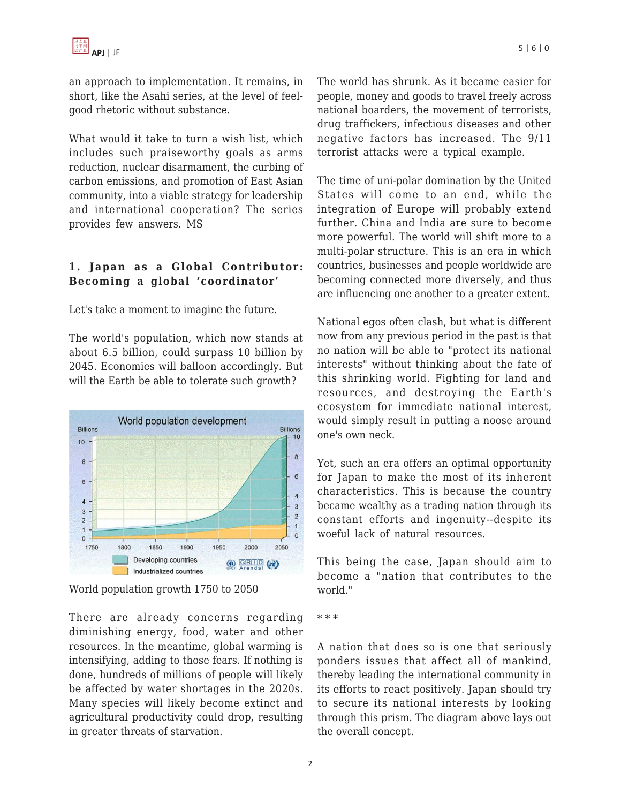an approach to implementation. It remains, in short, like the Asahi series, at the level of feelgood rhetoric without substance.

What would it take to turn a wish list, which includes such praiseworthy goals as arms reduction, nuclear disarmament, the curbing of carbon emissions, and promotion of East Asian community, into a viable strategy for leadership and international cooperation? The series provides few answers. MS

# **1. Japan as a Global Contributor: Becoming a global 'coordinator'**

Let's take a moment to imagine the future.

The world's population, which now stands at about 6.5 billion, could surpass 10 billion by 2045. Economies will balloon accordingly. But will the Earth be able to tolerate such growth?



World population growth 1750 to 2050

There are already concerns regarding diminishing energy, food, water and other resources. In the meantime, global warming is intensifying, adding to those fears. If nothing is done, hundreds of millions of people will likely be affected by water shortages in the 2020s. Many species will likely become extinct and agricultural productivity could drop, resulting in greater threats of starvation.

The world has shrunk. As it became easier for people, money and goods to travel freely across national boarders, the movement of terrorists, drug traffickers, infectious diseases and other negative factors has increased. The 9/11 terrorist attacks were a typical example.

The time of uni-polar domination by the United States will come to an end, while the integration of Europe will probably extend further. China and India are sure to become more powerful. The world will shift more to a multi-polar structure. This is an era in which countries, businesses and people worldwide are becoming connected more diversely, and thus are influencing one another to a greater extent.

National egos often clash, but what is different now from any previous period in the past is that no nation will be able to "protect its national interests" without thinking about the fate of this shrinking world. Fighting for land and resources, and destroying the Earth's ecosystem for immediate national interest, would simply result in putting a noose around one's own neck.

Yet, such an era offers an optimal opportunity for Japan to make the most of its inherent characteristics. This is because the country became wealthy as a trading nation through its constant efforts and ingenuity--despite its woeful lack of natural resources.

This being the case, Japan should aim to become a "nation that contributes to the world."

A nation that does so is one that seriously ponders issues that affect all of mankind, thereby leading the international community in its efforts to react positively. Japan should try to secure its national interests by looking through this prism. The diagram above lays out the overall concept.

<sup>\* \* \*</sup>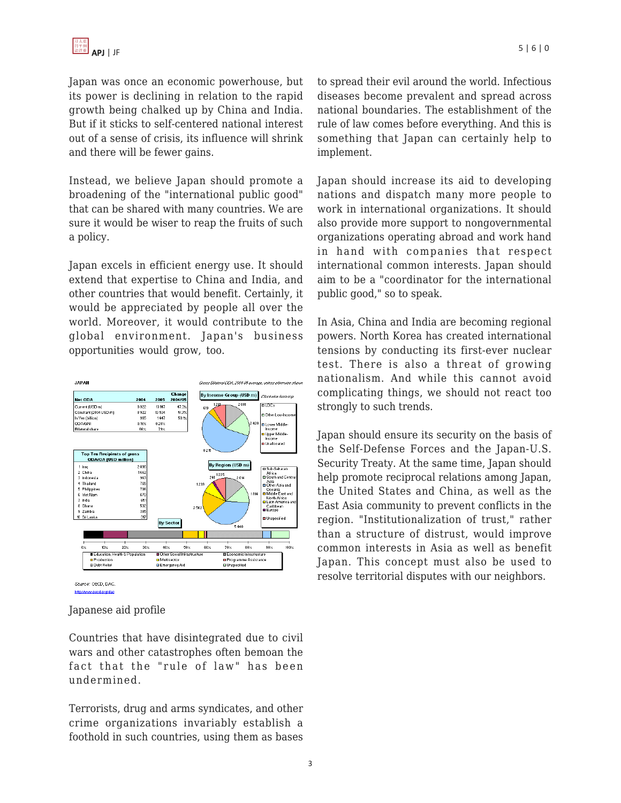Japan was once an economic powerhouse, but its power is declining in relation to the rapid growth being chalked up by China and India. But if it sticks to self-centered national interest out of a sense of crisis, its influence will shrink and there will be fewer gains.

Instead, we believe Japan should promote a broadening of the "international public good" that can be shared with many countries. We are sure it would be wiser to reap the fruits of such a policy.

Japan excels in efficient energy use. It should extend that expertise to China and India, and other countries that would benefit. Certainly, it would be appreciated by people all over the world. Moreover, it would contribute to the global environment. Japan's business opportunities would grow, too.



Japanese aid profile

Countries that have disintegrated due to civil wars and other catastrophes often bemoan the fact that the "rule of law" has been undermined.

Terrorists, drug and arms syndicates, and other crime organizations invariably establish a foothold in such countries, using them as bases to spread their evil around the world. Infectious diseases become prevalent and spread across national boundaries. The establishment of the rule of law comes before everything. And this is something that Japan can certainly help to implement.

Japan should increase its aid to developing nations and dispatch many more people to work in international organizations. It should also provide more support to nongovernmental organizations operating abroad and work hand in hand with companies that respect international common interests. Japan should aim to be a "coordinator for the international public good," so to speak.

In Asia, China and India are becoming regional powers. North Korea has created international tensions by conducting its first-ever nuclear test. There is also a threat of growing nationalism. And while this cannot avoid complicating things, we should not react too strongly to such trends.

Japan should ensure its security on the basis of the Self-Defense Forces and the Japan-U.S. Security Treaty. At the same time, Japan should help promote reciprocal relations among Japan, the United States and China, as well as the East Asia community to prevent conflicts in the region. "Institutionalization of trust," rather than a structure of distrust, would improve common interests in Asia as well as benefit Japan. This concept must also be used to resolve territorial disputes with our neighbors.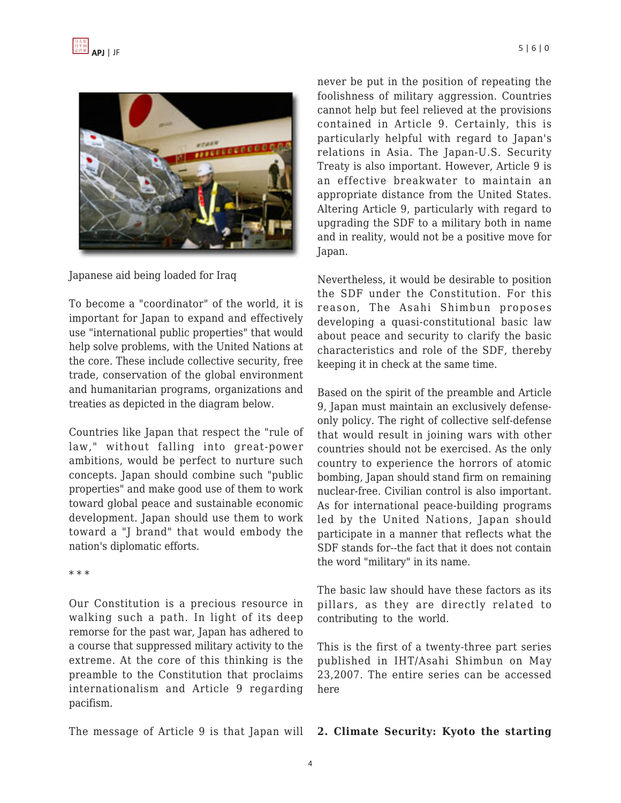

Japanese aid being loaded for Iraq

To become a "coordinator" of the world, it is important for Japan to expand and effectively use "international public properties" that would help solve problems, with the United Nations at the core. These include collective security, free trade, conservation of the global environment and humanitarian programs, organizations and treaties as depicted in the diagram below.

Countries like Japan that respect the "rule of law," without falling into great-power ambitions, would be perfect to nurture such concepts. Japan should combine such "public properties" and make good use of them to work toward global peace and sustainable economic development. Japan should use them to work toward a "J brand" that would embody the nation's diplomatic efforts.

\* \* \*

Our Constitution is a precious resource in walking such a path. In light of its deep remorse for the past war, Japan has adhered to a course that suppressed military activity to the extreme. At the core of this thinking is the preamble to the Constitution that proclaims internationalism and Article 9 regarding pacifism.

never be put in the position of repeating the foolishness of military aggression. Countries cannot help but feel relieved at the provisions contained in Article 9. Certainly, this is particularly helpful with regard to Japan's relations in Asia. The Japan-U.S. Security Treaty is also important. However, Article 9 is an effective breakwater to maintain an appropriate distance from the United States. Altering Article 9, particularly with regard to upgrading the SDF to a military both in name and in reality, would not be a positive move for Japan.

Nevertheless, it would be desirable to position the SDF under the Constitution. For this reason, The Asahi Shimbun proposes developing a quasi-constitutional basic law about peace and security to clarify the basic characteristics and role of the SDF, thereby keeping it in check at the same time.

Based on the spirit of the preamble and Article 9, Japan must maintain an exclusively defenseonly policy. The right of collective self-defense that would result in joining wars with other countries should not be exercised. As the only country to experience the horrors of atomic bombing, Japan should stand firm on remaining nuclear-free. Civilian control is also important. As for international peace-building programs led by the United Nations, Japan should participate in a manner that reflects what the SDF stands for--the fact that it does not contain the word "military" in its name.

The basic law should have these factors as its pillars, as they are directly related to contributing to the world.

This is the first of a twenty-three part series published in IHT/Asahi Shimbun on May 23,2007. The entire series can be accessed here

#### The message of Article 9 is that Japan will **2. Climate Security: Kyoto the starting**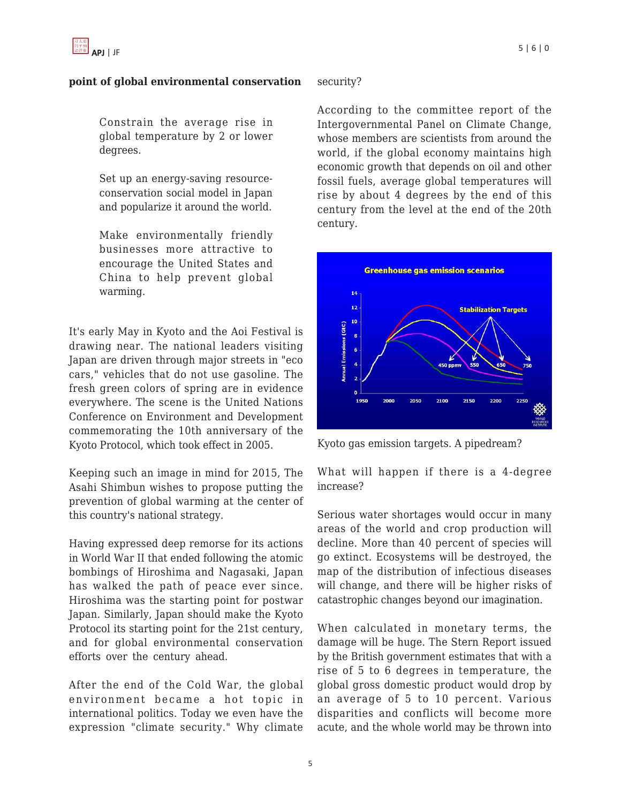### **point of global environmental conservation**

Constrain the average rise in global temperature by 2 or lower degrees.

Set up an energy-saving resourceconservation social model in Japan and popularize it around the world.

Make environmentally friendly businesses more attractive to encourage the United States and China to help prevent global warming.

It's early May in Kyoto and the Aoi Festival is drawing near. The national leaders visiting Japan are driven through major streets in "eco cars," vehicles that do not use gasoline. The fresh green colors of spring are in evidence everywhere. The scene is the United Nations Conference on Environment and Development commemorating the 10th anniversary of the Kyoto Protocol, which took effect in 2005.

Keeping such an image in mind for 2015, The Asahi Shimbun wishes to propose putting the prevention of global warming at the center of this country's national strategy.

Having expressed deep remorse for its actions in World War II that ended following the atomic bombings of Hiroshima and Nagasaki, Japan has walked the path of peace ever since. Hiroshima was the starting point for postwar Japan. Similarly, Japan should make the Kyoto Protocol its starting point for the 21st century, and for global environmental conservation efforts over the century ahead.

After the end of the Cold War, the global environment became a hot topic in international politics. Today we even have the expression "climate security." Why climate

## security?

According to the committee report of the Intergovernmental Panel on Climate Change, whose members are scientists from around the world, if the global economy maintains high economic growth that depends on oil and other fossil fuels, average global temperatures will rise by about 4 degrees by the end of this century from the level at the end of the 20th century.



Kyoto gas emission targets. A pipedream?

What will happen if there is a 4-degree increase?

Serious water shortages would occur in many areas of the world and crop production will decline. More than 40 percent of species will go extinct. Ecosystems will be destroyed, the map of the distribution of infectious diseases will change, and there will be higher risks of catastrophic changes beyond our imagination.

When calculated in monetary terms, the damage will be huge. The Stern Report issued by the British government estimates that with a rise of 5 to 6 degrees in temperature, the global gross domestic product would drop by an average of 5 to 10 percent. Various disparities and conflicts will become more acute, and the whole world may be thrown into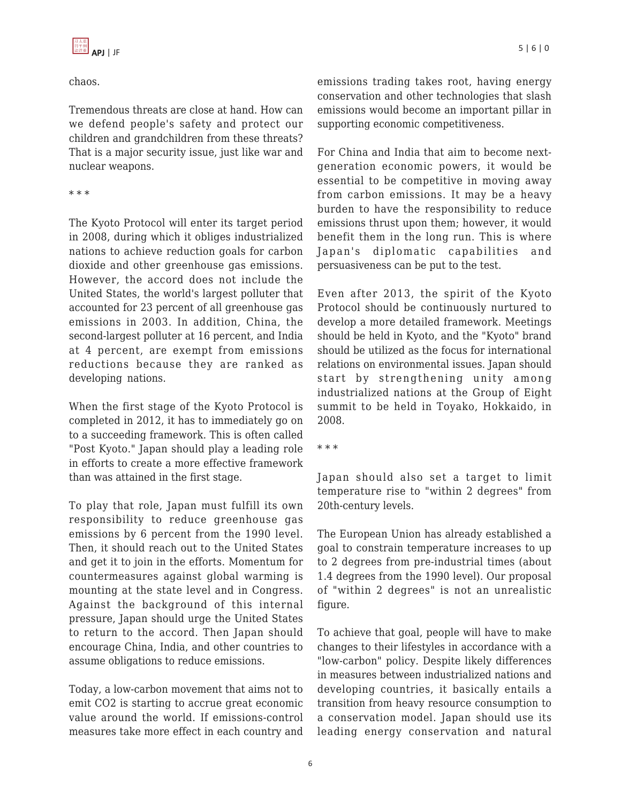chaos.

Tremendous threats are close at hand. How can we defend people's safety and protect our children and grandchildren from these threats? That is a major security issue, just like war and nuclear weapons.

#### \* \* \*

The Kyoto Protocol will enter its target period in 2008, during which it obliges industrialized nations to achieve reduction goals for carbon dioxide and other greenhouse gas emissions. However, the accord does not include the United States, the world's largest polluter that accounted for 23 percent of all greenhouse gas emissions in 2003. In addition, China, the second-largest polluter at 16 percent, and India at 4 percent, are exempt from emissions reductions because they are ranked as developing nations.

When the first stage of the Kyoto Protocol is completed in 2012, it has to immediately go on to a succeeding framework. This is often called "Post Kyoto." Japan should play a leading role in efforts to create a more effective framework than was attained in the first stage.

To play that role, Japan must fulfill its own responsibility to reduce greenhouse gas emissions by 6 percent from the 1990 level. Then, it should reach out to the United States and get it to join in the efforts. Momentum for countermeasures against global warming is mounting at the state level and in Congress. Against the background of this internal pressure, Japan should urge the United States to return to the accord. Then Japan should encourage China, India, and other countries to assume obligations to reduce emissions.

Today, a low-carbon movement that aims not to emit CO2 is starting to accrue great economic value around the world. If emissions-control measures take more effect in each country and emissions trading takes root, having energy conservation and other technologies that slash emissions would become an important pillar in supporting economic competitiveness.

For China and India that aim to become nextgeneration economic powers, it would be essential to be competitive in moving away from carbon emissions. It may be a heavy burden to have the responsibility to reduce emissions thrust upon them; however, it would benefit them in the long run. This is where Japan's diplomatic capabilities and persuasiveness can be put to the test.

Even after 2013, the spirit of the Kyoto Protocol should be continuously nurtured to develop a more detailed framework. Meetings should be held in Kyoto, and the "Kyoto" brand should be utilized as the focus for international relations on environmental issues. Japan should start by strengthening unity among industrialized nations at the Group of Eight summit to be held in Toyako, Hokkaido, in 2008.

Japan should also set a target to limit temperature rise to "within 2 degrees" from 20th-century levels.

The European Union has already established a goal to constrain temperature increases to up to 2 degrees from pre-industrial times (about 1.4 degrees from the 1990 level). Our proposal of "within 2 degrees" is not an unrealistic figure.

To achieve that goal, people will have to make changes to their lifestyles in accordance with a "low-carbon" policy. Despite likely differences in measures between industrialized nations and developing countries, it basically entails a transition from heavy resource consumption to a conservation model. Japan should use its leading energy conservation and natural

<sup>\* \* \*</sup>